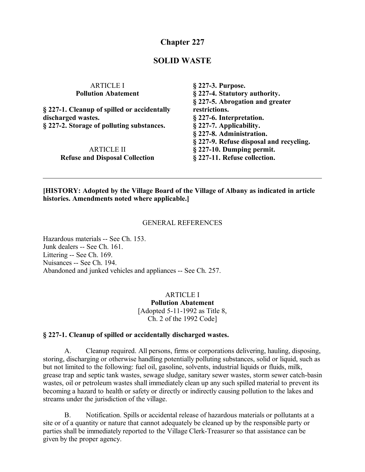# **Chapter 227**

### **SOLID WASTE**

| § 227-3. Purpose.                                |
|--------------------------------------------------|
| § 227-4. Statutory authority.                    |
| § 227-5. Abrogation and greater<br>restrictions. |
| § 227-6. Interpretation.                         |
| § 227-7. Applicability.                          |
| § 227-8. Administration.                         |
| § 227-9. Refuse disposal and recycling.          |
| § 227-10. Dumping permit.                        |
| § 227-11. Refuse collection.                     |
|                                                  |

### **[HISTORY: Adopted by the Village Board of the Village of Albany as indicated in article histories. Amendments noted where applicable.]**

#### GENERAL REFERENCES

Hazardous materials -- See Ch. 153. Junk dealers -- See Ch. 161. Littering -- See Ch. 169. Nuisances -- See Ch. 194. Abandoned and junked vehicles and appliances -- See Ch. 257.

> ARTICLE I **Pollution Abatement** [Adopted 5-11-1992 as Title 8, Ch. 2 of the 1992 Code]

#### **§ 227-1. Cleanup of spilled or accidentally discharged wastes.**

A. Cleanup required. All persons, firms or corporations delivering, hauling, disposing, storing, discharging or otherwise handling potentially polluting substances, solid or liquid, such as but not limited to the following: fuel oil, gasoline, solvents, industrial liquids or fluids, milk, grease trap and septic tank wastes, sewage sludge, sanitary sewer wastes, storm sewer catch-basin wastes, oil or petroleum wastes shall immediately clean up any such spilled material to prevent its becoming a hazard to health or safety or directly or indirectly causing pollution to the lakes and streams under the jurisdiction of the village.

B. Notification. Spills or accidental release of hazardous materials or pollutants at a site or of a quantity or nature that cannot adequately be cleaned up by the responsible party or parties shall be immediately reported to the Village Clerk-Treasurer so that assistance can be given by the proper agency.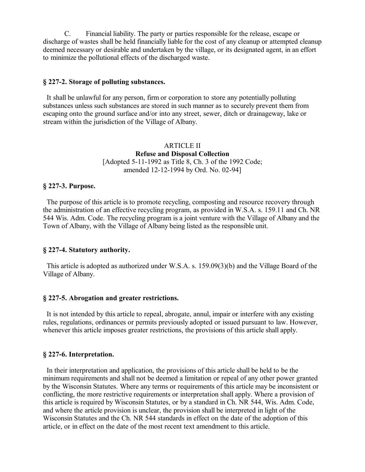C. Financial liability. The party or parties responsible for the release, escape or discharge of wastes shall be held financially liable for the cost of any cleanup or attempted cleanup deemed necessary or desirable and undertaken by the village, or its designated agent, in an effort to minimize the pollutional effects of the discharged waste.

### **§ 227-2. Storage of polluting substances.**

 It shall be unlawful for any person, firm or corporation to store any potentially polluting substances unless such substances are stored in such manner as to securely prevent them from escaping onto the ground surface and/or into any street, sewer, ditch or drainageway, lake or stream within the jurisdiction of the Village of Albany.

> ARTICLE II **Refuse and Disposal Collection** [Adopted 5-11-1992 as Title 8, Ch. 3 of the 1992 Code; amended 12-12-1994 by Ord. No. 02-94]

#### **§ 227-3. Purpose.**

 The purpose of this article is to promote recycling, composting and resource recovery through the administration of an effective recycling program, as provided in W.S.A. s. 159.11 and Ch. NR 544 Wis. Adm. Code. The recycling program is a joint venture with the Village of Albany and the Town of Albany, with the Village of Albany being listed as the responsible unit.

#### **§ 227-4. Statutory authority.**

 This article is adopted as authorized under W.S.A. s. 159.09(3)(b) and the Village Board of the Village of Albany.

#### **§ 227-5. Abrogation and greater restrictions.**

 It is not intended by this article to repeal, abrogate, annul, impair or interfere with any existing rules, regulations, ordinances or permits previously adopted or issued pursuant to law. However, whenever this article imposes greater restrictions, the provisions of this article shall apply.

#### **§ 227-6. Interpretation.**

 In their interpretation and application, the provisions of this article shall be held to be the minimum requirements and shall not be deemed a limitation or repeal of any other power granted by the Wisconsin Statutes. Where any terms or requirements of this article may be inconsistent or conflicting, the more restrictive requirements or interpretation shall apply. Where a provision of this article is required by Wisconsin Statutes, or by a standard in Ch. NR 544, Wis. Adm. Code, and where the article provision is unclear, the provision shall be interpreted in light of the Wisconsin Statutes and the Ch. NR 544 standards in effect on the date of the adoption of this article, or in effect on the date of the most recent text amendment to this article.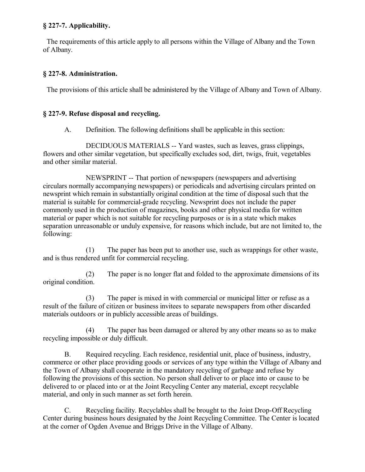## **§ 227-7. Applicability.**

 The requirements of this article apply to all persons within the Village of Albany and the Town of Albany.

## **§ 227-8. Administration.**

The provisions of this article shall be administered by the Village of Albany and Town of Albany.

# **§ 227-9. Refuse disposal and recycling.**

A. Definition. The following definitions shall be applicable in this section:

DECIDUOUS MATERIALS -- Yard wastes, such as leaves, grass clippings, flowers and other similar vegetation, but specifically excludes sod, dirt, twigs, fruit, vegetables and other similar material.

NEWSPRINT -- That portion of newspapers (newspapers and advertising circulars normally accompanying newspapers) or periodicals and advertising circulars printed on newsprint which remain in substantially original condition at the time of disposal such that the material is suitable for commercial-grade recycling. Newsprint does not include the paper commonly used in the production of magazines, books and other physical media for written material or paper which is not suitable for recycling purposes or is in a state which makes separation unreasonable or unduly expensive, for reasons which include, but are not limited to, the following:

(1) The paper has been put to another use, such as wrappings for other waste, and is thus rendered unfit for commercial recycling.

(2) The paper is no longer flat and folded to the approximate dimensions of its original condition.

(3) The paper is mixed in with commercial or municipal litter or refuse as a result of the failure of citizen or business invitees to separate newspapers from other discarded materials outdoors or in publicly accessible areas of buildings.

(4) The paper has been damaged or altered by any other means so as to make recycling impossible or duly difficult.

B. Required recycling. Each residence, residential unit, place of business, industry, commerce or other place providing goods or services of any type within the Village of Albany and the Town of Albany shall cooperate in the mandatory recycling of garbage and refuse by following the provisions of this section. No person shall deliver to or place into or cause to be delivered to or placed into or at the Joint Recycling Center any material, except recyclable material, and only in such manner as set forth herein.

C. Recycling facility. Recyclables shall be brought to the Joint Drop-Off Recycling Center during business hours designated by the Joint Recycling Committee. The Center is located at the corner of Ogden Avenue and Briggs Drive in the Village of Albany.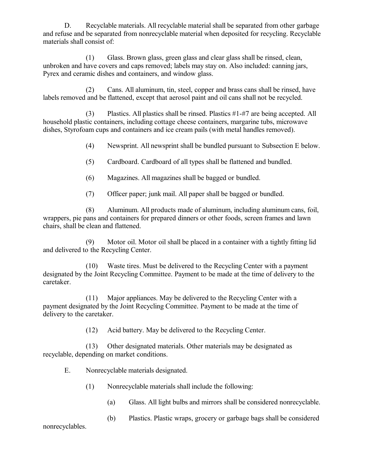D. Recyclable materials. All recyclable material shall be separated from other garbage and refuse and be separated from nonrecyclable material when deposited for recycling. Recyclable materials shall consist of:

(1) Glass. Brown glass, green glass and clear glass shall be rinsed, clean, unbroken and have covers and caps removed; labels may stay on. Also included: canning jars, Pyrex and ceramic dishes and containers, and window glass.

(2) Cans. All aluminum, tin, steel, copper and brass cans shall be rinsed, have labels removed and be flattened, except that aerosol paint and oil cans shall not be recycled.

(3) Plastics. All plastics shall be rinsed. Plastics #1-#7 are being accepted. All household plastic containers, including cottage cheese containers, margarine tubs, microwave dishes, Styrofoam cups and containers and ice cream pails (with metal handles removed).

(4) Newsprint. All newsprint shall be bundled pursuant to Subsection E below.

- (5) Cardboard. Cardboard of all types shall be flattened and bundled.
- (6) Magazines. All magazines shall be bagged or bundled.
- (7) Officer paper; junk mail. All paper shall be bagged or bundled.

(8) Aluminum. All products made of aluminum, including aluminum cans, foil, wrappers, pie pans and containers for prepared dinners or other foods, screen frames and lawn chairs, shall be clean and flattened.

(9) Motor oil. Motor oil shall be placed in a container with a tightly fitting lid and delivered to the Recycling Center.

(10) Waste tires. Must be delivered to the Recycling Center with a payment designated by the Joint Recycling Committee. Payment to be made at the time of delivery to the caretaker.

(11) Major appliances. May be delivered to the Recycling Center with a payment designated by the Joint Recycling Committee. Payment to be made at the time of delivery to the caretaker.

(12) Acid battery. May be delivered to the Recycling Center.

(13) Other designated materials. Other materials may be designated as recyclable, depending on market conditions.

E. Nonrecyclable materials designated.

- (1) Nonrecyclable materials shall include the following:
	- (a) Glass. All light bulbs and mirrors shall be considered nonrecyclable.
	- (b) Plastics. Plastic wraps, grocery or garbage bags shall be considered

nonrecyclables.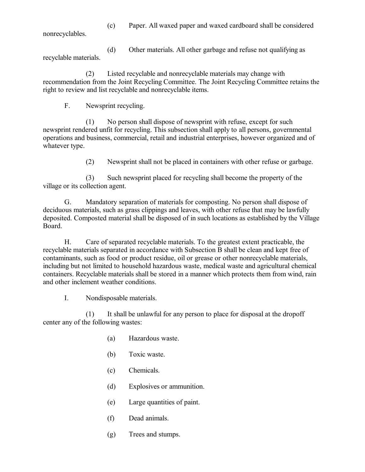(c) Paper. All waxed paper and waxed cardboard shall be considered

nonrecyclables.

(d) Other materials. All other garbage and refuse not qualifying as recyclable materials.

(2) Listed recyclable and nonrecyclable materials may change with recommendation from the Joint Recycling Committee. The Joint Recycling Committee retains the right to review and list recyclable and nonrecyclable items.

F. Newsprint recycling.

(1) No person shall dispose of newsprint with refuse, except for such newsprint rendered unfit for recycling. This subsection shall apply to all persons, governmental operations and business, commercial, retail and industrial enterprises, however organized and of whatever type.

(2) Newsprint shall not be placed in containers with other refuse or garbage.

(3) Such newsprint placed for recycling shall become the property of the village or its collection agent.

G. Mandatory separation of materials for composting. No person shall dispose of deciduous materials, such as grass clippings and leaves, with other refuse that may be lawfully deposited. Composted material shall be disposed of in such locations as established by the Village Board.

H. Care of separated recyclable materials. To the greatest extent practicable, the recyclable materials separated in accordance with Subsection B shall be clean and kept free of contaminants, such as food or product residue, oil or grease or other nonrecyclable materials, including but not limited to household hazardous waste, medical waste and agricultural chemical containers. Recyclable materials shall be stored in a manner which protects them from wind, rain and other inclement weather conditions.

I. Nondisposable materials.

(1) It shall be unlawful for any person to place for disposal at the dropoff center any of the following wastes:

- (a) Hazardous waste.
- (b) Toxic waste.
- (c) Chemicals.
- (d) Explosives or ammunition.
- (e) Large quantities of paint.
- (f) Dead animals.
- (g) Trees and stumps.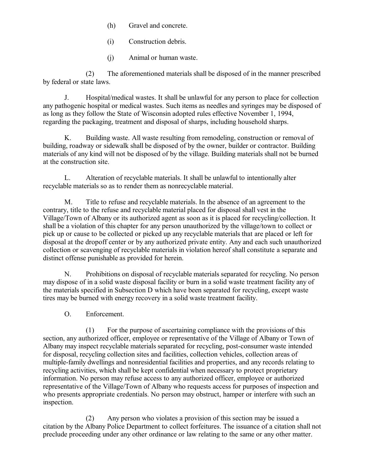- (h) Gravel and concrete.
- (i) Construction debris.
- (j) Animal or human waste.

(2) The aforementioned materials shall be disposed of in the manner prescribed by federal or state laws.

J. Hospital/medical wastes. It shall be unlawful for any person to place for collection any pathogenic hospital or medical wastes. Such items as needles and syringes may be disposed of as long as they follow the State of Wisconsin adopted rules effective November 1, 1994, regarding the packaging, treatment and disposal of sharps, including household sharps.

K. Building waste. All waste resulting from remodeling, construction or removal of building, roadway or sidewalk shall be disposed of by the owner, builder or contractor. Building materials of any kind will not be disposed of by the village. Building materials shall not be burned at the construction site.

L. Alteration of recyclable materials. It shall be unlawful to intentionally alter recyclable materials so as to render them as nonrecyclable material.

M. Title to refuse and recyclable materials. In the absence of an agreement to the contrary, title to the refuse and recyclable material placed for disposal shall vest in the Village/Town of Albany or its authorized agent as soon as it is placed for recycling/collection. It shall be a violation of this chapter for any person unauthorized by the village/town to collect or pick up or cause to be collected or picked up any recyclable materials that are placed or left for disposal at the dropoff center or by any authorized private entity. Any and each such unauthorized collection or scavenging of recyclable materials in violation hereof shall constitute a separate and distinct offense punishable as provided for herein.

N. Prohibitions on disposal of recyclable materials separated for recycling. No person may dispose of in a solid waste disposal facility or burn in a solid waste treatment facility any of the materials specified in Subsection D which have been separated for recycling, except waste tires may be burned with energy recovery in a solid waste treatment facility.

O. Enforcement.

(1) For the purpose of ascertaining compliance with the provisions of this section, any authorized officer, employee or representative of the Village of Albany or Town of Albany may inspect recyclable materials separated for recycling, post-consumer waste intended for disposal, recycling collection sites and facilities, collection vehicles, collection areas of multiple-family dwellings and nonresidential facilities and properties, and any records relating to recycling activities, which shall be kept confidential when necessary to protect proprietary information. No person may refuse access to any authorized officer, employee or authorized representative of the Village/Town of Albany who requests access for purposes of inspection and who presents appropriate credentials. No person may obstruct, hamper or interfere with such an inspection.

(2) Any person who violates a provision of this section may be issued a citation by the Albany Police Department to collect forfeitures. The issuance of a citation shall not preclude proceeding under any other ordinance or law relating to the same or any other matter.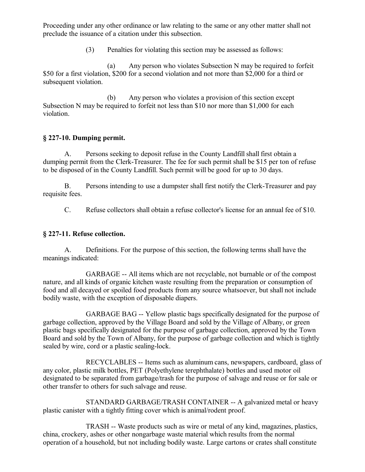Proceeding under any other ordinance or law relating to the same or any other matter shall not preclude the issuance of a citation under this subsection.

(3) Penalties for violating this section may be assessed as follows:

(a) Any person who violates Subsection N may be required to forfeit \$50 for a first violation, \$200 for a second violation and not more than \$2,000 for a third or subsequent violation.

(b) Any person who violates a provision of this section except Subsection N may be required to forfeit not less than \$10 nor more than \$1,000 for each violation.

# **§ 227-10. Dumping permit.**

A. Persons seeking to deposit refuse in the County Landfill shall first obtain a dumping permit from the Clerk-Treasurer. The fee for such permit shall be \$15 per ton of refuse to be disposed of in the County Landfill. Such permit will be good for up to 30 days.

B. Persons intending to use a dumpster shall first notify the Clerk-Treasurer and pay requisite fees.

C. Refuse collectors shall obtain a refuse collector's license for an annual fee of \$10.

# **§ 227-11. Refuse collection.**

A. Definitions. For the purpose of this section, the following terms shall have the meanings indicated:

GARBAGE -- All items which are not recyclable, not burnable or of the compost nature, and all kinds of organic kitchen waste resulting from the preparation or consumption of food and all decayed or spoiled food products from any source whatsoever, but shall not include bodily waste, with the exception of disposable diapers.

GARBAGE BAG -- Yellow plastic bags specifically designated for the purpose of garbage collection, approved by the Village Board and sold by the Village of Albany, or green plastic bags specifically designated for the purpose of garbage collection, approved by the Town Board and sold by the Town of Albany, for the purpose of garbage collection and which is tightly sealed by wire, cord or a plastic sealing-lock.

RECYCLABLES -- Items such as aluminum cans, newspapers, cardboard, glass of any color, plastic milk bottles, PET (Polyethylene terephthalate) bottles and used motor oil designated to be separated from garbage/trash for the purpose of salvage and reuse or for sale or other transfer to others for such salvage and reuse.

STANDARD GARBAGE/TRASH CONTAINER -- A galvanized metal or heavy plastic canister with a tightly fitting cover which is animal/rodent proof.

TRASH -- Waste products such as wire or metal of any kind, magazines, plastics, china, crockery, ashes or other nongarbage waste material which results from the normal operation of a household, but not including bodily waste. Large cartons or crates shall constitute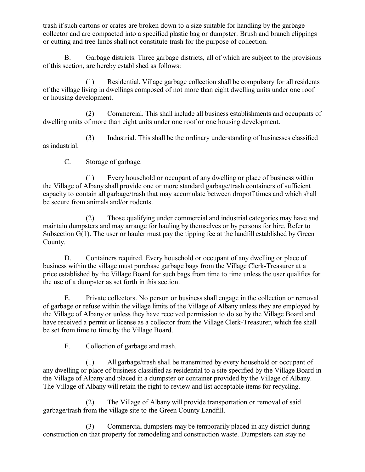trash if such cartons or crates are broken down to a size suitable for handling by the garbage collector and are compacted into a specified plastic bag or dumpster. Brush and branch clippings or cutting and tree limbs shall not constitute trash for the purpose of collection.

B. Garbage districts. Three garbage districts, all of which are subject to the provisions of this section, are hereby established as follows:

(1) Residential. Village garbage collection shall be compulsory for all residents of the village living in dwellings composed of not more than eight dwelling units under one roof or housing development.

(2) Commercial. This shall include all business establishments and occupants of dwelling units of more than eight units under one roof or one housing development.

(3) Industrial. This shall be the ordinary understanding of businesses classified as industrial.

C. Storage of garbage.

(1) Every household or occupant of any dwelling or place of business within the Village of Albany shall provide one or more standard garbage/trash containers of sufficient capacity to contain all garbage/trash that may accumulate between dropoff times and which shall be secure from animals and/or rodents.

(2) Those qualifying under commercial and industrial categories may have and maintain dumpsters and may arrange for hauling by themselves or by persons for hire. Refer to Subsection G(1). The user or hauler must pay the tipping fee at the landfill established by Green County.

D. Containers required. Every household or occupant of any dwelling or place of business within the village must purchase garbage bags from the Village Clerk-Treasurer at a price established by the Village Board for such bags from time to time unless the user qualifies for the use of a dumpster as set forth in this section.

E. Private collectors. No person or business shall engage in the collection or removal of garbage or refuse within the village limits of the Village of Albany unless they are employed by the Village of Albany or unless they have received permission to do so by the Village Board and have received a permit or license as a collector from the Village Clerk-Treasurer, which fee shall be set from time to time by the Village Board.

F. Collection of garbage and trash.

(1) All garbage/trash shall be transmitted by every household or occupant of any dwelling or place of business classified as residential to a site specified by the Village Board in the Village of Albany and placed in a dumpster or container provided by the Village of Albany. The Village of Albany will retain the right to review and list acceptable items for recycling.

(2) The Village of Albany will provide transportation or removal of said garbage/trash from the village site to the Green County Landfill.

(3) Commercial dumpsters may be temporarily placed in any district during construction on that property for remodeling and construction waste. Dumpsters can stay no